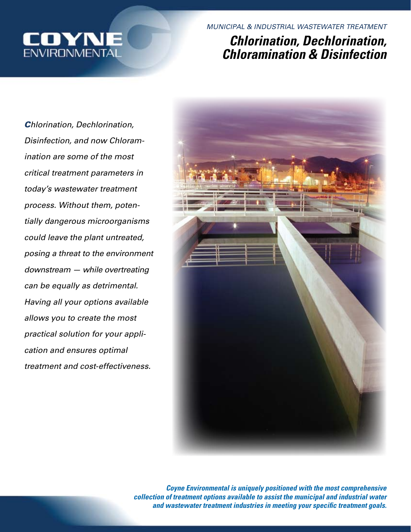

*MUNICIPAL & INDUSTRIAL WASTEWATER TREATMENT*

# *Chlorination, Dechlorination, Chloramination & Disinfection*

*Chlorination, Dechlorination, Disinfection, and now Chloramination are some of the most critical treatment parameters in today's wastewater treatment process. Without them, potentially dangerous microorganisms could leave the plant untreated, posing a threat to the environment downstream — while overtreating can be equally as detrimental. Having all your options available allows you to create the most practical solution for your application and ensures optimal treatment and cost-effectiveness.*



*Coyne Environmental is uniquely positioned with the most comprehensive collection of treatment options available to assist the municipal and industrial water and wastewater treatment industries in meeting your specific treatment goals.*